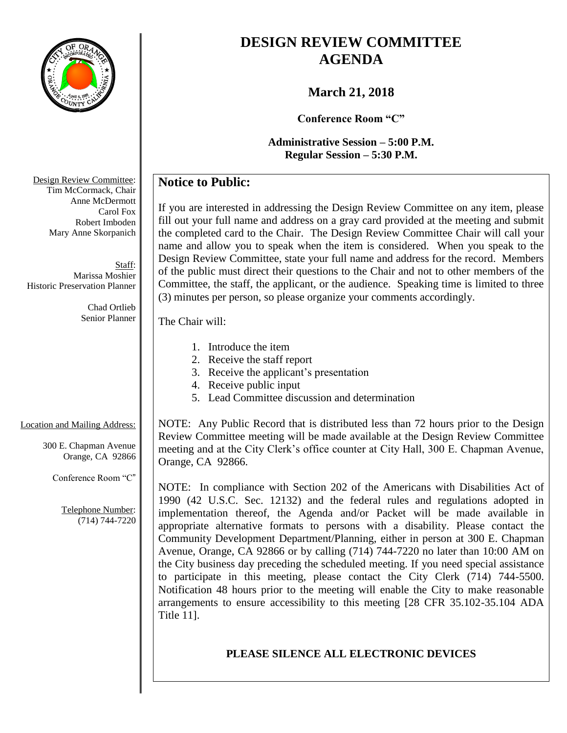

# **DESIGN REVIEW COMMITTEE AGENDA**

# **March 21, 2018**

**Conference Room "C"**

**Administrative Session – 5:00 P.M. Regular Session – 5:30 P.M.**

# **Notice to Public:**

If you are interested in addressing the Design Review Committee on any item, please fill out your full name and address on a gray card provided at the meeting and submit the completed card to the Chair. The Design Review Committee Chair will call your name and allow you to speak when the item is considered. When you speak to the Design Review Committee, state your full name and address for the record. Members of the public must direct their questions to the Chair and not to other members of the Committee, the staff, the applicant, or the audience. Speaking time is limited to three (3) minutes per person, so please organize your comments accordingly.

#### The Chair will:

- 1. Introduce the item
- 2. Receive the staff report
- 3. Receive the applicant's presentation
- 4. Receive public input
- 5. Lead Committee discussion and determination

#### Location and Mailing Address:

300 E. Chapman Avenue Orange, CA 92866

Conference Room "C"

Telephone Number: (714) 744-7220 NOTE: Any Public Record that is distributed less than 72 hours prior to the Design Review Committee meeting will be made available at the Design Review Committee meeting and at the City Clerk's office counter at City Hall, 300 E. Chapman Avenue, Orange, CA 92866.

NOTE: In compliance with Section 202 of the Americans with Disabilities Act of 1990 (42 U.S.C. Sec. 12132) and the federal rules and regulations adopted in implementation thereof, the Agenda and/or Packet will be made available in appropriate alternative formats to persons with a disability. Please contact the Community Development Department/Planning, either in person at 300 E. Chapman Avenue, Orange, CA 92866 or by calling (714) 744-7220 no later than 10:00 AM on the City business day preceding the scheduled meeting. If you need special assistance to participate in this meeting, please contact the City Clerk (714) 744-5500. Notification 48 hours prior to the meeting will enable the City to make reasonable arrangements to ensure accessibility to this meeting [28 CFR 35.102-35.104 ADA Title 11].

### **PLEASE SILENCE ALL ELECTRONIC DEVICES**

Design Review Committee: Tim McCormack, Chair Anne McDermott Carol Fox Robert Imboden Mary Anne Skorpanich

Staff: Marissa Moshier Historic Preservation Planner

> Chad Ortlieb Senior Planner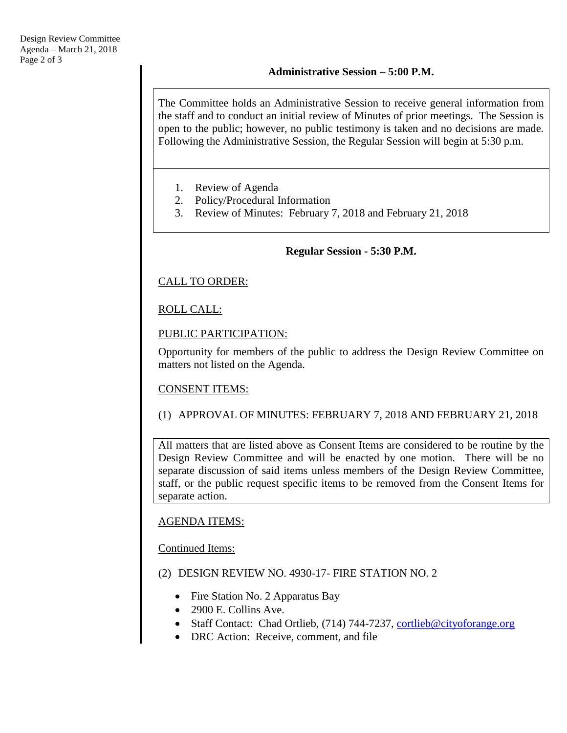The Committee holds an Administrative Session to receive general information from the staff and to conduct an initial review of Minutes of prior meetings. The Session is open to the public; however, no public testimony is taken and no decisions are made. Following the Administrative Session, the Regular Session will begin at 5:30 p.m.

- 1. Review of Agenda
- 2. Policy/Procedural Information
- 3. Review of Minutes: February 7, 2018 and February 21, 2018

#### **Regular Session - 5:30 P.M.**

### CALL TO ORDER:

#### ROLL CALL:

#### PUBLIC PARTICIPATION:

Opportunity for members of the public to address the Design Review Committee on matters not listed on the Agenda.

#### CONSENT ITEMS:

### (1) APPROVAL OF MINUTES: FEBRUARY 7, 2018 AND FEBRUARY 21, 2018

All matters that are listed above as Consent Items are considered to be routine by the Design Review Committee and will be enacted by one motion. There will be no separate discussion of said items unless members of the Design Review Committee, staff, or the public request specific items to be removed from the Consent Items for separate action.

#### AGENDA ITEMS:

#### Continued Items:

#### (2) DESIGN REVIEW NO. 4930-17- FIRE STATION NO. 2

- Fire Station No. 2 Apparatus Bay
- 2900 E. Collins Ave.
- Staff Contact: Chad Ortlieb, (714) 744-7237, [cortlieb@cityoforange.org](mailto:cortlieb@cityoforange.org)
- DRC Action: Receive, comment, and file